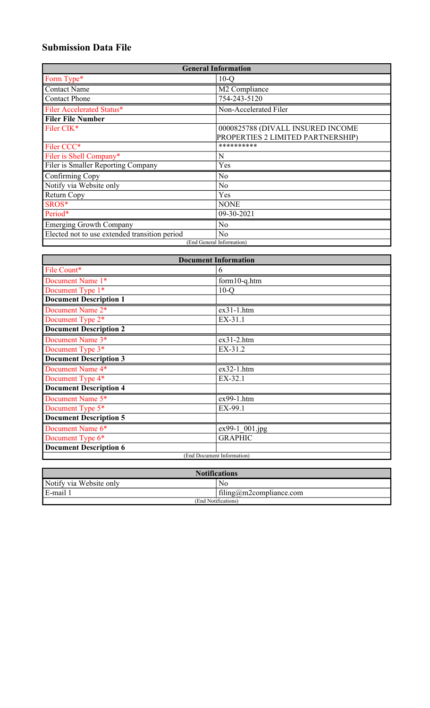# **Submission Data File**

| <b>General Information</b>                    |                                   |  |  |  |  |  |  |
|-----------------------------------------------|-----------------------------------|--|--|--|--|--|--|
| Form Type*                                    | $10-Q$                            |  |  |  |  |  |  |
| <b>Contact Name</b>                           | M2 Compliance                     |  |  |  |  |  |  |
| <b>Contact Phone</b>                          | 754-243-5120                      |  |  |  |  |  |  |
| Filer Accelerated Status*                     | Non-Accelerated Filer             |  |  |  |  |  |  |
| <b>Filer File Number</b>                      |                                   |  |  |  |  |  |  |
| Filer CIK*                                    | 0000825788 (DIVALL INSURED INCOME |  |  |  |  |  |  |
|                                               | PROPERTIES 2 LIMITED PARTNERSHIP) |  |  |  |  |  |  |
| Filer CCC*                                    | **********                        |  |  |  |  |  |  |
| Filer is Shell Company*                       | N                                 |  |  |  |  |  |  |
| Filer is Smaller Reporting Company            | Yes                               |  |  |  |  |  |  |
| Confirming Copy                               | No                                |  |  |  |  |  |  |
| Notify via Website only                       | No                                |  |  |  |  |  |  |
| Return Copy                                   | Yes                               |  |  |  |  |  |  |
| SROS*                                         | <b>NONE</b>                       |  |  |  |  |  |  |
| Period*                                       | 09-30-2021                        |  |  |  |  |  |  |
| <b>Emerging Growth Company</b>                | No                                |  |  |  |  |  |  |
| Elected not to use extended transition period | No                                |  |  |  |  |  |  |
| (End General Information)                     |                                   |  |  |  |  |  |  |

| <b>Document Information</b>   |                |  |  |  |  |  |
|-------------------------------|----------------|--|--|--|--|--|
| File Count*                   | 6              |  |  |  |  |  |
| Document Name 1*              | $form10-q.htm$ |  |  |  |  |  |
| Document Type 1*              | $10-Q$         |  |  |  |  |  |
| <b>Document Description 1</b> |                |  |  |  |  |  |
| Document Name 2*              | $ex31-1.htm$   |  |  |  |  |  |
| Document Type 2*              | EX-31.1        |  |  |  |  |  |
| <b>Document Description 2</b> |                |  |  |  |  |  |
| Document Name 3*              | $ex31-2.htm$   |  |  |  |  |  |
| Document Type 3*              | EX-31.2        |  |  |  |  |  |
| <b>Document Description 3</b> |                |  |  |  |  |  |
| Document Name 4*              | $ex32-1.htm$   |  |  |  |  |  |
| Document Type 4*              | EX-32.1        |  |  |  |  |  |
| <b>Document Description 4</b> |                |  |  |  |  |  |
| Document Name 5*              | $ex99-1.htm$   |  |  |  |  |  |
| Document Type 5*              | EX-99.1        |  |  |  |  |  |
| <b>Document Description 5</b> |                |  |  |  |  |  |
| Document Name 6*              | ex99-1 001.jpg |  |  |  |  |  |
| Document Type 6*              | <b>GRAPHIC</b> |  |  |  |  |  |
| <b>Document Description 6</b> |                |  |  |  |  |  |
| (End Document Information)    |                |  |  |  |  |  |

| <b>Notifications</b>    |                                   |  |  |  |  |
|-------------------------|-----------------------------------|--|--|--|--|
| Notify via Website only | No                                |  |  |  |  |
| E-mail                  | $\text{filling@m2compliance.com}$ |  |  |  |  |
| (End Notifications)     |                                   |  |  |  |  |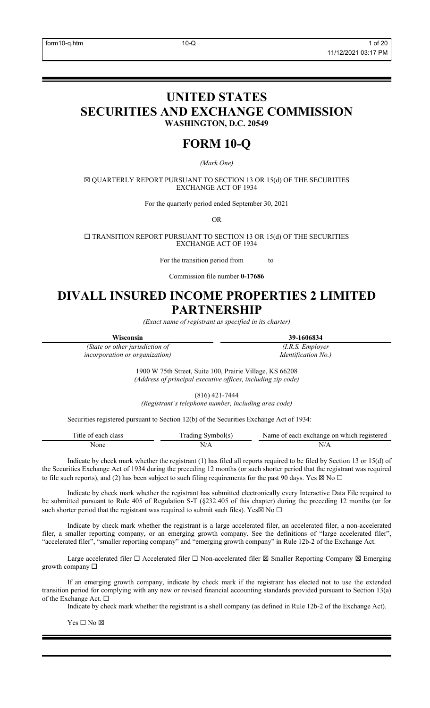# **UNITED STATES SECURITIES AND EXCHANGE COMMISSION WASHINGTON, D.C. 20549**

# **FORM 10-Q**

*(Mark One)*

☒ QUARTERLY REPORT PURSUANT TO SECTION 13 OR 15(d) OF THE SECURITIES EXCHANGE ACT OF 1934

For the quarterly period ended September 30, 2021

OR

 $\Box$  TRANSITION REPORT PURSUANT TO SECTION 13 OR 15(d) OF THE SECURITIES EXCHANGE ACT OF 1934

For the transition period from to

Commission file number **0-17686**

# **DIVALL INSURED INCOME PROPERTIES 2 LIMITED PARTNERSHIP**

*(Exact name of registrant as specified in its charter)*

**Wisconsin 39-1606834** *(State or other jurisdiction of (I.R.S. Employer*

*incorporation or organization) Identification No.)*

1900 W 75th Street, Suite 100, Prairie Village, KS 66208 *(Address of principal executive offices, including zip code)*

(816) 421-7444 *(Registrant's telephone number, including area code)*

Securities registered pursuant to Section 12(b) of the Securities Exchange Act of 1934:

| m<br>class<br>each<br>itle<br>Ω1 | <b>TEAM</b><br>ran.<br>iboll! | which registered<br>$\Delta$<br>n۵<br>Nam<br>nanoe<br>$\sim$ $\sim$ $\sim$ |  |  |  |  |
|----------------------------------|-------------------------------|----------------------------------------------------------------------------|--|--|--|--|
| None                             | $N/r_{\rm s}$                 | $N/f$ .                                                                    |  |  |  |  |

Indicate by check mark whether the registrant (1) has filed all reports required to be filed by Section 13 or 15(d) of the Securities Exchange Act of 1934 during the preceding 12 months (or such shorter period that the registrant was required to file such reports), and (2) has been subject to such filing requirements for the past 90 days. Yes  $\boxtimes$  No  $\Box$ 

Indicate by check mark whether the registrant has submitted electronically every Interactive Data File required to be submitted pursuant to Rule 405 of Regulation S-T (§232.405 of this chapter) during the preceding 12 months (or for such shorter period that the registrant was required to submit such files). Yes $\boxtimes$  No  $\Box$ 

Indicate by check mark whether the registrant is a large accelerated filer, an accelerated filer, a non-accelerated filer, a smaller reporting company, or an emerging growth company. See the definitions of "large accelerated filer", "accelerated filer", "smaller reporting company" and "emerging growth company" in Rule 12b-2 of the Exchange Act.

Large accelerated filer  $\Box$  Accelerated filer  $\Box$  Non-accelerated filer  $\boxtimes$  Smaller Reporting Company  $\boxtimes$  Emerging growth company  $\square$ 

If an emerging growth company, indicate by check mark if the registrant has elected not to use the extended transition period for complying with any new or revised financial accounting standards provided pursuant to Section 13(a) of the Exchange Act. □

Indicate by check mark whether the registrant is a shell company (as defined in Rule 12b-2 of the Exchange Act).

Yes □ No ⊠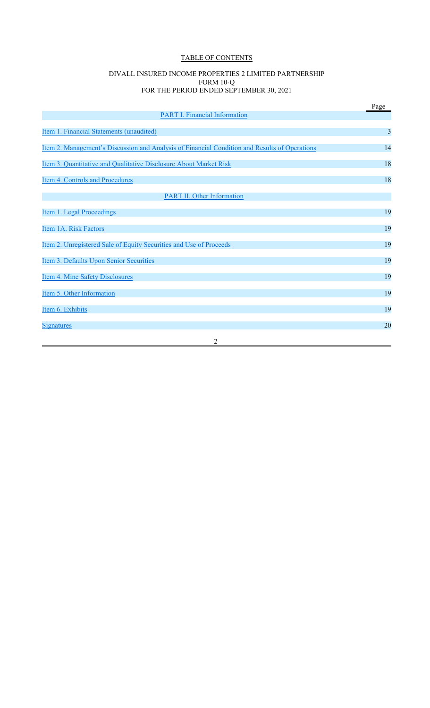# TABLE OF CONTENTS

#### DIVALL INSURED INCOME PROPERTIES 2 LIMITED PARTNERSHIP FORM 10-Q FOR THE PERIOD ENDED SEPTEMBER 30, 2021

|                                                                                               | Page                    |
|-----------------------------------------------------------------------------------------------|-------------------------|
| <b>PART I. Financial Information</b>                                                          |                         |
| Item 1. Financial Statements (unaudited)                                                      | $\overline{\mathbf{3}}$ |
| Item 2. Management's Discussion and Analysis of Financial Condition and Results of Operations | 14                      |
| Item 3. Quantitative and Qualitative Disclosure About Market Risk                             | 18                      |
| <b>Item 4. Controls and Procedures</b>                                                        | 18                      |
| <b>PART II. Other Information</b>                                                             |                         |
| Item 1. Legal Proceedings                                                                     | 19                      |
| Item 1A. Risk Factors                                                                         | 19                      |
| <u>Item 2. Unregistered Sale of Equity Securities and Use of Proceeds</u>                     | 19                      |
| Item 3. Defaults Upon Senior Securities                                                       | 19                      |
| <b>Item 4. Mine Safety Disclosures</b>                                                        | 19                      |
| Item 5. Other Information                                                                     | 19                      |
| Item 6. Exhibits                                                                              | 19                      |
| <b>Signatures</b>                                                                             | 20                      |
| 2                                                                                             |                         |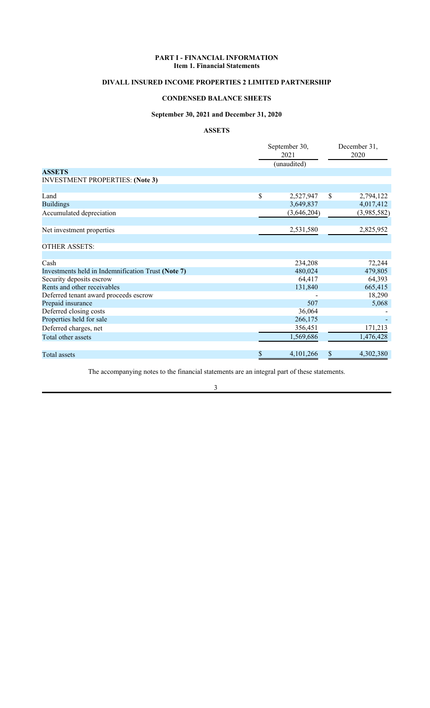## **PART I - FINANCIAL INFORMATION Item 1. Financial Statements**

# **DIVALL INSURED INCOME PROPERTIES 2 LIMITED PARTNERSHIP**

# **CONDENSED BALANCE SHEETS**

# **September 30, 2021 and December 31, 2020**

## **ASSETS**

|                                                    | September 30,<br>2021<br>(unaudited) | December 31,<br>2020 |             |  |  |
|----------------------------------------------------|--------------------------------------|----------------------|-------------|--|--|
| <b>ASSETS</b>                                      |                                      |                      |             |  |  |
| <b>INVESTMENT PROPERTIES: (Note 3)</b>             |                                      |                      |             |  |  |
|                                                    |                                      |                      |             |  |  |
| Land                                               | \$<br>2,527,947                      | \$                   | 2,794,122   |  |  |
| <b>Buildings</b>                                   | 3,649,837                            |                      | 4,017,412   |  |  |
| Accumulated depreciation                           | (3,646,204)                          |                      | (3,985,582) |  |  |
|                                                    |                                      |                      |             |  |  |
| Net investment properties                          | 2,531,580                            |                      | 2,825,952   |  |  |
|                                                    |                                      |                      |             |  |  |
| <b>OTHER ASSETS:</b>                               |                                      |                      |             |  |  |
|                                                    |                                      |                      |             |  |  |
| Cash                                               | 234,208                              |                      | 72,244      |  |  |
| Investments held in Indemnification Trust (Note 7) | 480,024                              |                      | 479,805     |  |  |
| Security deposits escrow                           | 64,417                               |                      | 64,393      |  |  |
| Rents and other receivables                        | 131,840                              |                      | 665,415     |  |  |
| Deferred tenant award proceeds escrow              |                                      |                      | 18,290      |  |  |
| Prepaid insurance                                  | 507                                  |                      | 5,068       |  |  |
| Deferred closing costs                             | 36,064                               |                      |             |  |  |
| Properties held for sale                           | 266,175                              |                      |             |  |  |
| Deferred charges, net                              | 356,451                              |                      | 171,213     |  |  |
| Total other assets                                 | 1,569,686                            |                      | 1,476,428   |  |  |
|                                                    |                                      |                      |             |  |  |
| Total assets                                       | \$<br>4,101,266                      | \$                   | 4,302,380   |  |  |

The accompanying notes to the financial statements are an integral part of these statements.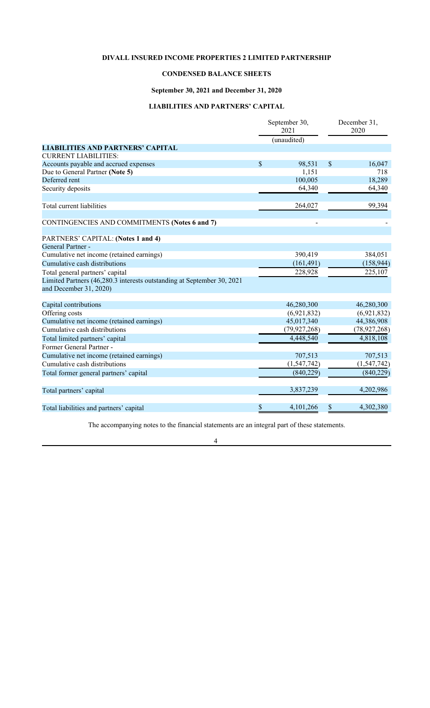## **CONDENSED BALANCE SHEETS**

## **September 30, 2021 and December 31, 2020**

## **LIABILITIES AND PARTNERS' CAPITAL**

|                                                                                                  | September 30,<br>2021 |                |               | December 31,<br>2020 |
|--------------------------------------------------------------------------------------------------|-----------------------|----------------|---------------|----------------------|
|                                                                                                  |                       | (unaudited)    |               |                      |
| <b>LIABILITIES AND PARTNERS' CAPITAL</b>                                                         |                       |                |               |                      |
| <b>CURRENT LIABILITIES:</b>                                                                      |                       |                |               |                      |
| Accounts payable and accrued expenses                                                            | \$                    | 98,531         | $\mathcal{S}$ | 16,047               |
| Due to General Partner (Note 5)                                                                  |                       | 1,151          |               | 718                  |
| Deferred rent                                                                                    |                       | 100,005        |               | 18,289               |
| Security deposits                                                                                |                       | 64,340         |               | 64,340               |
| Total current liabilities                                                                        |                       | 264,027        |               | 99,394               |
| CONTINGENCIES AND COMMITMENTS (Notes 6 and 7)                                                    |                       |                |               |                      |
| PARTNERS' CAPITAL: (Notes 1 and 4)                                                               |                       |                |               |                      |
| General Partner -                                                                                |                       |                |               |                      |
| Cumulative net income (retained earnings)                                                        |                       | 390,419        |               | 384,051              |
| Cumulative cash distributions                                                                    |                       | (161, 491)     |               | (158, 944)           |
| Total general partners' capital                                                                  |                       | 228,928        |               | 225,107              |
| Limited Partners (46,280.3 interests outstanding at September 30, 2021<br>and December 31, 2020) |                       |                |               |                      |
| Capital contributions                                                                            |                       | 46,280,300     |               | 46,280,300           |
| Offering costs                                                                                   |                       | (6,921,832)    |               | (6,921,832)          |
| Cumulative net income (retained earnings)                                                        |                       | 45,017,340     |               | 44,386,908           |
| Cumulative cash distributions                                                                    |                       | (79, 927, 268) |               | (78,927,268)         |
| Total limited partners' capital                                                                  |                       | 4,448,540      |               | 4,818,108            |
| Former General Partner -                                                                         |                       |                |               |                      |
| Cumulative net income (retained earnings)                                                        |                       | 707,513        |               | 707,513              |
| Cumulative cash distributions                                                                    |                       | (1, 547, 742)  |               | (1, 547, 742)        |
| Total former general partners' capital                                                           |                       | (840, 229)     |               | (840, 229)           |
| Total partners' capital                                                                          |                       | 3,837,239      |               | 4,202,986            |
| Total liabilities and partners' capital                                                          | \$                    | 4,101,266      | \$            | 4,302,380            |

The accompanying notes to the financial statements are an integral part of these statements.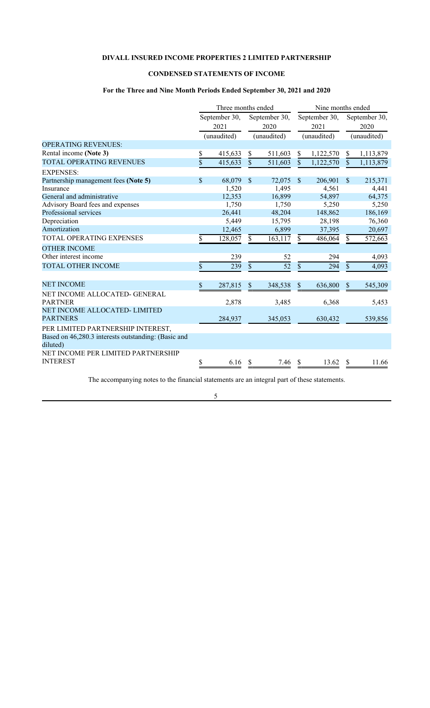## **CONDENSED STATEMENTS OF INCOME**

## **For the Three and Nine Month Periods Ended September 30, 2021 and 2020**

|                                                                 | Three months ended      |               |               |                 |                           | Nine months ended      |               |               |  |
|-----------------------------------------------------------------|-------------------------|---------------|---------------|-----------------|---------------------------|------------------------|---------------|---------------|--|
|                                                                 |                         | September 30, |               | September 30,   | September 30,             |                        |               | September 30, |  |
|                                                                 |                         | 2021          | 2020          |                 | 2021                      |                        | 2020          |               |  |
|                                                                 | (unaudited)             |               | (unaudited)   |                 | (unaudited)               |                        | (unaudited)   |               |  |
| <b>OPERATING REVENUES:</b>                                      |                         |               |               |                 |                           |                        |               |               |  |
| Rental income (Note 3)                                          | \$                      | 415,633       | \$            | 511,603         | \$                        | 1,122,570              | \$            | 1,113,879     |  |
| <b>TOTAL OPERATING REVENUES</b>                                 | $\overline{\mathbb{S}}$ | 415,633       | $\mathcal{S}$ | 511,603         | $\mathbf{\hat{S}}$        | $\overline{1,}122,570$ | $\mathbb{S}$  | 1,113,879     |  |
| <b>EXPENSES:</b>                                                |                         |               |               |                 |                           |                        |               |               |  |
| Partnership management fees (Note 5)                            | \$                      | 68,079        | $\sqrt{3}$    | 72,075          | $\boldsymbol{\mathsf{S}}$ | 206,901                | $\mathcal{S}$ | 215,371       |  |
| Insurance                                                       |                         | 1,520         |               | 1,495           |                           | 4,561                  |               | 4,441         |  |
| General and administrative                                      |                         | 12,353        |               | 16,899          |                           | 54,897                 |               | 64,375        |  |
| Advisory Board fees and expenses                                |                         | 1,750         |               | 1,750           |                           | 5,250                  |               | 5,250         |  |
| Professional services                                           |                         | 26,441        |               | 48,204          |                           | 148,862                |               | 186,169       |  |
| Depreciation                                                    |                         | 5,449         |               | 15,795          |                           | 28,198                 |               | 76,360        |  |
| Amortization                                                    |                         | 12,465        |               | 6,899           |                           | 37,395                 |               | 20,697        |  |
| <b>TOTAL OPERATING EXPENSES</b>                                 | \$                      | 128,057       | \$.           | 163,117         | $\mathcal{S}$             | 486,064                | \$.           | 572,663       |  |
| <b>OTHER INCOME</b>                                             |                         |               |               |                 |                           |                        |               |               |  |
| Other interest income                                           |                         | 239           |               | 52              |                           | 294                    |               | 4,093         |  |
| TOTAL OTHER INCOME                                              | \$                      | 239           | $\sqrt{\ }$   | $\overline{52}$ | $\mathcal{S}$             | 294                    | $\mathbb{S}$  | 4,093         |  |
|                                                                 |                         |               |               |                 |                           |                        |               |               |  |
| <b>NET INCOME</b>                                               | \$                      | 287,815       | \$            | 348,538         | $\boldsymbol{\mathsf{S}}$ | 636,800                | $\$$          | 545,309       |  |
| NET INCOME ALLOCATED- GENERAL                                   |                         |               |               |                 |                           |                        |               |               |  |
| <b>PARTNER</b>                                                  |                         | 2,878         |               | 3,485           |                           | 6,368                  |               | 5,453         |  |
| NET INCOME ALLOCATED- LIMITED                                   |                         |               |               |                 |                           |                        |               |               |  |
| <b>PARTNERS</b>                                                 |                         | 284,937       |               | 345,053         |                           | 630,432                |               | 539,856       |  |
| PER LIMITED PARTNERSHIP INTEREST,                               |                         |               |               |                 |                           |                        |               |               |  |
| Based on 46,280.3 interests outstanding: (Basic and<br>diluted) |                         |               |               |                 |                           |                        |               |               |  |
| NET INCOME PER LIMITED PARTNERSHIP                              |                         |               |               |                 |                           |                        |               |               |  |
| <b>INTEREST</b>                                                 | \$                      | 6.16          | S             | 7.46            | \$.                       | 13.62                  | S             | 11.66         |  |

The accompanying notes to the financial statements are an integral part of these statements.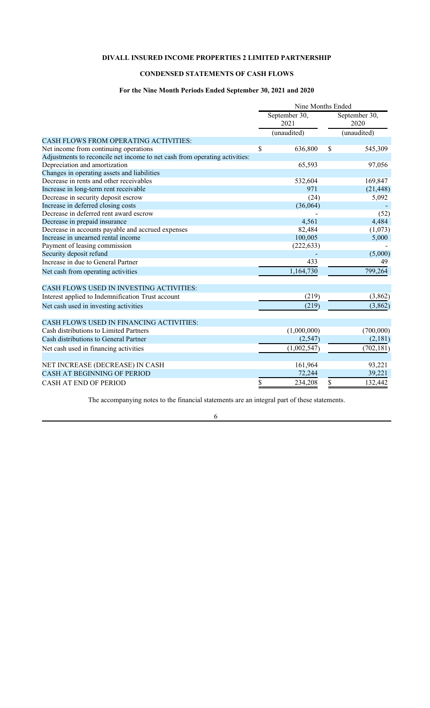## **CONDENSED STATEMENTS OF CASH FLOWS**

## **For the Nine Month Periods Ended September 30, 2021 and 2020**

|                                                                            | Nine Months Ended     |                       |
|----------------------------------------------------------------------------|-----------------------|-----------------------|
|                                                                            | September 30,<br>2021 | September 30,<br>2020 |
|                                                                            | (unaudited)           | (unaudited)           |
| CASH FLOWS FROM OPERATING ACTIVITIES:                                      |                       |                       |
| Net income from continuing operations                                      | \$<br>636,800         | \$<br>545,309         |
| Adjustments to reconcile net income to net cash from operating activities: |                       |                       |
| Depreciation and amortization                                              | 65,593                | 97,056                |
| Changes in operating assets and liabilities                                |                       |                       |
| Decrease in rents and other receivables                                    | 532,604               | 169,847               |
| Increase in long-term rent receivable                                      | 971                   | (21, 448)             |
| Decrease in security deposit escrow                                        | (24)                  | 5,092                 |
| Increase in deferred closing costs                                         | (36,064)              |                       |
| Decrease in deferred rent award escrow                                     |                       | (52)                  |
| Decrease in prepaid insurance                                              | 4,561                 | 4,484                 |
| Decrease in accounts payable and accrued expenses                          | 82,484                | (1,073)               |
| Increase in unearned rental income                                         | 100,005               | 5,000                 |
| Payment of leasing commission                                              | (222, 633)            |                       |
| Security deposit refund                                                    |                       | (5,000)               |
| Increase in due to General Partner                                         | 433                   | 49                    |
| Net cash from operating activities                                         | 1,164,730             | 799,264               |
| CASH FLOWS USED IN INVESTING ACTIVITIES:                                   |                       |                       |
| Interest applied to Indemnification Trust account                          | (219)                 | (3,862)               |
| Net cash used in investing activities                                      | (219)                 | (3,862)               |
| CASH FLOWS USED IN FINANCING ACTIVITIES:                                   |                       |                       |
| Cash distributions to Limited Partners                                     | (1,000,000)           | (700,000)             |
| Cash distributions to General Partner                                      | (2,547)               | (2,181)               |
| Net cash used in financing activities                                      | (1,002,547)           | (702, 181)            |
| NET INCREASE (DECREASE) IN CASH                                            | 161,964               | 93,221                |
| <b>CASH AT BEGINNING OF PERIOD</b>                                         | 72,244                | 39,221                |
| <b>CASH AT END OF PERIOD</b>                                               | \$<br>234,208         | \$<br>132,442         |

The accompanying notes to the financial statements are an integral part of these statements.

6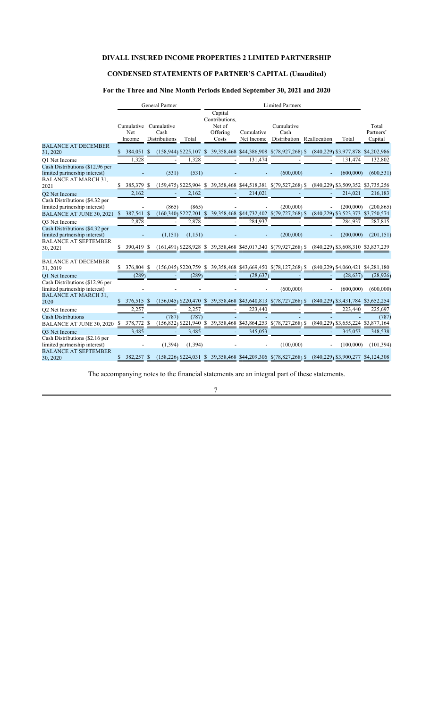## **CONDENSED STATEMENTS OF PARTNER'S CAPITAL (Unaudited)**

## **For the Three and Nine Month Periods Ended September 30, 2021 and 2020**

|                                                                                                 |     |               |     | <b>General Partner</b>                                |                   | <b>Limited Partners</b> |                                                          |                          |                                                                    |  |  |                                        |                               |
|-------------------------------------------------------------------------------------------------|-----|---------------|-----|-------------------------------------------------------|-------------------|-------------------------|----------------------------------------------------------|--------------------------|--------------------------------------------------------------------|--|--|----------------------------------------|-------------------------------|
|                                                                                                 |     | Net<br>Income |     | Cumulative Cumulative<br>Cash<br><b>Distributions</b> | Total             |                         | Capital<br>Contributions.<br>Net of<br>Offering<br>Costs | Cumulative<br>Net Income | Cumulative<br>Cash<br>Distribution Reallocation                    |  |  | Total                                  | Total<br>Partners'<br>Capital |
| <b>BALANCE AT DECEMBER</b><br>31, 2020                                                          |     | 384,051       | - S |                                                       |                   |                         |                                                          |                          | $(158,944)$ \$225,107 \$ 39,358,468 \$44,386,908 \$(78,927,268) \$ |  |  | $(840, 229)$ \$3,977,878               | \$4,202,986                   |
| O1 Net Income                                                                                   |     | 1,328         |     |                                                       | 1,328             |                         |                                                          | 131,474                  |                                                                    |  |  | 131,474                                | 132,802                       |
| Cash Distributions (\$12.96 per<br>limited partnership interest)<br><b>BALANCE AT MARCH 31,</b> |     |               |     | (531)                                                 | (531)             |                         |                                                          |                          | (600,000)                                                          |  |  | (600,000)                              | (600, 531)                    |
| 2021                                                                                            | S   | 385,379 \$    |     |                                                       |                   |                         |                                                          |                          | $(159,475)$ \$225,904 \$39,358,468 \$44,518,381 \$(79,527,268) \$  |  |  | $(840,229)$ \$3,509,352 \$3,735,256    |                               |
| <b>O2</b> Net Income                                                                            |     | 2,162         |     |                                                       | 2,162             |                         |                                                          | 214,021                  |                                                                    |  |  | 214,021                                | 216,183                       |
| Cash Distributions (\$4.32 per<br>limited partnership interest)                                 |     | 387,541 \$    |     | (865)                                                 | (865)             |                         |                                                          |                          | (200,000)                                                          |  |  | (200,000)<br>$(840, 229)$ \$3,523,373  | (200, 865)<br>\$3,750,574     |
| <b>BALANCE AT JUNE 30, 2021</b>                                                                 | \$  | 2,878         |     |                                                       | 2,878             |                         |                                                          | 284,937                  | $(160,340)$ \$227,201 \$ 39,358,468 \$44,732,402 \$(79,727,268) \$ |  |  | 284,937                                | 287,815                       |
| O3 Net Income<br>Cash Distributions (\$4.32 per<br>limited partnership interest)                |     |               |     | (1, 151)                                              | (1, 151)          |                         |                                                          |                          | (200,000)                                                          |  |  | (200,000)                              | (201, 151)                    |
| <b>BALANCE AT SEPTEMBER</b><br>30, 2021                                                         | S   | 390,419 \$    |     |                                                       |                   |                         |                                                          |                          | $(161,491)$ \$228,928 \$ 39,358,468 \$45,017,340 \$(79,927,268) \$ |  |  | $(840,229)$ \$3,608,310 \$3,837,239    |                               |
| <b>BALANCE AT DECEMBER</b><br>31, 2019                                                          | \$. | 376,804 \$    |     |                                                       |                   |                         |                                                          |                          | $(156,045)$ \$220,759 \$ 39,358,468 \$43,669,450 \$(78,127,268) \$ |  |  | $(840,229)$ \$4,060,421 \$4,281,180    |                               |
| <b>Q1</b> Net Income                                                                            |     | (289)         |     |                                                       | (289)             |                         |                                                          | (28, 637)                |                                                                    |  |  | (28, 637)                              | (28, 926)                     |
| Cash Distributions (\$12.96 per<br>limited partnership interest)<br><b>BALANCE AT MARCH 31,</b> |     |               |     |                                                       |                   |                         |                                                          |                          | (600,000)                                                          |  |  | (600,000)                              | (600,000)                     |
| 2020                                                                                            |     | 376,515 \$    |     |                                                       |                   |                         |                                                          |                          | $(156,045)$ \$220,470 \$ 39,358,468 \$43,640,813 \$(78,727,268) \$ |  |  | (840, 229) \$3, 431, 784 \$3, 652, 254 |                               |
| <b>Q2</b> Net Income                                                                            |     | 2,257         |     |                                                       | 2.257             |                         |                                                          | 223,440                  |                                                                    |  |  | 223,440                                | 225,697                       |
| <b>Cash Distributions</b>                                                                       |     |               |     | (787)                                                 | (787)             |                         |                                                          |                          |                                                                    |  |  |                                        | (787)                         |
| <b>BALANCE AT JUNE 30, 2020</b>                                                                 | S   | 378,772 \$    |     |                                                       |                   |                         |                                                          |                          | $(156,832)$ \$221,940 \$ 39,358,468 \$43,864,253 \$(78,727,268) \$ |  |  | $(840, 229)$ \$3,655,224               | \$3,877,164                   |
| <b>O3</b> Net Income<br>Cash Distributions (\$2.16 per<br>limited partnership interest)         |     | 3,485         |     | (1, 394)                                              | 3,485<br>(1, 394) |                         |                                                          | 345,053                  | (100,000)                                                          |  |  | 345,053<br>(100,000)                   | 348,538<br>(101, 394)         |
| <b>BALANCE AT SEPTEMBER</b><br>30, 2020                                                         | \$  | 382,257 \$    |     |                                                       |                   |                         |                                                          |                          | $(158,226)$ \$224,031 \$ 39,358,468 \$44,209,306 \$(78,827,268) \$ |  |  | $(840,229)$ \$3,900,277 \$4,124,308    |                               |

The accompanying notes to the financial statements are an integral part of these statements.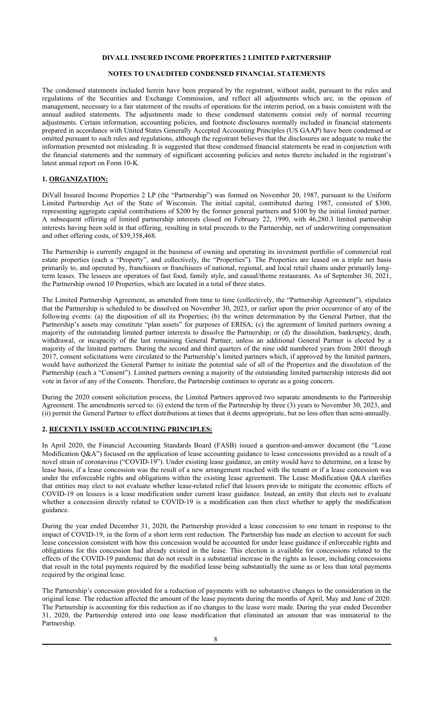## **NOTES TO UNAUDITED CONDENSED FINANCIAL STATEMENTS**

The condensed statements included herein have been prepared by the registrant, without audit, pursuant to the rules and regulations of the Securities and Exchange Commission, and reflect all adjustments which are, in the opinion of management, necessary to a fair statement of the results of operations for the interim period, on a basis consistent with the annual audited statements. The adjustments made to these condensed statements consist only of normal recurring adjustments. Certain information, accounting policies, and footnote disclosures normally included in financial statements prepared in accordance with United States Generally Accepted Accounting Principles (US GAAP) have been condensed or omitted pursuant to such rules and regulations, although the registrant believes that the disclosures are adequate to make the information presented not misleading. It is suggested that these condensed financial statements be read in conjunction with the financial statements and the summary of significant accounting policies and notes thereto included in the registrant's latest annual report on Form 10-K.

### **1. ORGANIZATION:**

DiVall Insured Income Properties 2 LP (the "Partnership") was formed on November 20, 1987, pursuant to the Uniform Limited Partnership Act of the State of Wisconsin. The initial capital, contributed during 1987, consisted of \$300, representing aggregate capital contributions of \$200 by the former general partners and \$100 by the initial limited partner. A subsequent offering of limited partnership interests closed on February 22, 1990, with 46,280.3 limited partnership interests having been sold in that offering, resulting in total proceeds to the Partnership, net of underwriting compensation and other offering costs, of \$39,358,468.

The Partnership is currently engaged in the business of owning and operating its investment portfolio of commercial real estate properties (each a "Property", and collectively, the "Properties"). The Properties are leased on a triple net basis primarily to, and operated by, franchisors or franchisees of national, regional, and local retail chains under primarily longterm leases. The lessees are operators of fast food, family style, and casual/theme restaurants. As of September 30, 2021, the Partnership owned 10 Properties, which are located in a total of three states.

The Limited Partnership Agreement, as amended from time to time (collectively, the "Partnership Agreement"), stipulates that the Partnership is scheduled to be dissolved on November 30, 2023, or earlier upon the prior occurrence of any of the following events: (a) the disposition of all its Properties; (b) the written determination by the General Partner, that the Partnership's assets may constitute "plan assets" for purposes of ERISA; (c) the agreement of limited partners owning a majority of the outstanding limited partner interests to dissolve the Partnership; or (d) the dissolution, bankruptcy, death, withdrawal, or incapacity of the last remaining General Partner, unless an additional General Partner is elected by a majority of the limited partners. During the second and third quarters of the nine odd numbered years from 2001 through 2017, consent solicitations were circulated to the Partnership's limited partners which, if approved by the limited partners, would have authorized the General Partner to initiate the potential sale of all of the Properties and the dissolution of the Partnership (each a "Consent"). Limited partners owning a majority of the outstanding limited partnership interests did not vote in favor of any of the Consents. Therefore, the Partnership continues to operate as a going concern.

During the 2020 consent solicitation process, the Limited Partners approved two separate amendments to the Partnership Agreement. The amendments served to: (i) extend the term of the Partnership by three (3) years to November 30, 2023, and (ii) permit the General Partner to effect distributions at times that it deems appropriate, but no less often than semi-annually.

## **2. RECENTLY ISSUED ACCOUNTING PRINCIPLES:**

In April 2020, the Financial Accounting Standards Board (FASB) issued a question-and-answer document (the "Lease Modification Q&A") focused on the application of lease accounting guidance to lease concessions provided as a result of a novel strain of coronavirus ("COVID-19"). Under existing lease guidance, an entity would have to determine, on a lease by lease basis, if a lease concession was the result of a new arrangement reached with the tenant or if a lease concession was under the enforceable rights and obligations within the existing lease agreement. The Lease Modification Q&A clarifies that entities may elect to not evaluate whether lease-related relief that lessors provide to mitigate the economic effects of COVID-19 on lessees is a lease modification under current lease guidance. Instead, an entity that elects not to evaluate whether a concession directly related to COVID-19 is a modification can then elect whether to apply the modification guidance.

During the year ended December 31, 2020, the Partnership provided a lease concession to one tenant in response to the impact of COVID-19, in the form of a short term rent reduction. The Partnership has made an election to account for such lease concession consistent with how this concession would be accounted for under lease guidance if enforceable rights and obligations for this concession had already existed in the lease. This election is available for concessions related to the effects of the COVID-19 pandemic that do not result in a substantial increase in the rights as lessor, including concessions that result in the total payments required by the modified lease being substantially the same as or less than total payments required by the original lease.

The Partnership's concession provided for a reduction of payments with no substantive changes to the consideration in the original lease. The reduction affected the amount of the lease payments during the months of April, May and June of 2020. The Partnership is accounting for this reduction as if no changes to the lease were made. During the year ended December 31, 2020, the Partnership entered into one lease modification that eliminated an amount that was immaterial to the Partnership.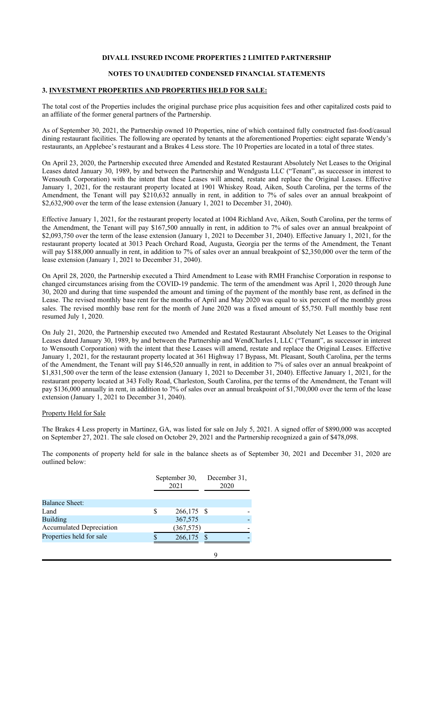## **NOTES TO UNAUDITED CONDENSED FINANCIAL STATEMENTS**

#### **3. INVESTMENT PROPERTIES AND PROPERTIES HELD FOR SALE:**

The total cost of the Properties includes the original purchase price plus acquisition fees and other capitalized costs paid to an affiliate of the former general partners of the Partnership.

As of September 30, 2021, the Partnership owned 10 Properties, nine of which contained fully constructed fast-food/casual dining restaurant facilities. The following are operated by tenants at the aforementioned Properties: eight separate Wendy's restaurants, an Applebee's restaurant and a Brakes 4 Less store. The 10 Properties are located in a total of three states.

On April 23, 2020, the Partnership executed three Amended and Restated Restaurant Absolutely Net Leases to the Original Leases dated January 30, 1989, by and between the Partnership and Wendgusta LLC ("Tenant", as successor in interest to Wensouth Corporation) with the intent that these Leases will amend, restate and replace the Original Leases. Effective January 1, 2021, for the restaurant property located at 1901 Whiskey Road, Aiken, South Carolina, per the terms of the Amendment, the Tenant will pay \$210,632 annually in rent, in addition to 7% of sales over an annual breakpoint of \$2,632,900 over the term of the lease extension (January 1, 2021 to December 31, 2040).

Effective January 1, 2021, for the restaurant property located at 1004 Richland Ave, Aiken, South Carolina, per the terms of the Amendment, the Tenant will pay \$167,500 annually in rent, in addition to 7% of sales over an annual breakpoint of \$2,093,750 over the term of the lease extension (January 1, 2021 to December 31, 2040). Effective January 1, 2021, for the restaurant property located at 3013 Peach Orchard Road, Augusta, Georgia per the terms of the Amendment, the Tenant will pay \$188,000 annually in rent, in addition to 7% of sales over an annual breakpoint of \$2,350,000 over the term of the lease extension (January 1, 2021 to December 31, 2040).

On April 28, 2020, the Partnership executed a Third Amendment to Lease with RMH Franchise Corporation in response to changed circumstances arising from the COVID-19 pandemic. The term of the amendment was April 1, 2020 through June 30, 2020 and during that time suspended the amount and timing of the payment of the monthly base rent, as defined in the Lease. The revised monthly base rent for the months of April and May 2020 was equal to six percent of the monthly gross sales. The revised monthly base rent for the month of June 2020 was a fixed amount of \$5,750. Full monthly base rent resumed July 1, 2020.

On July 21, 2020, the Partnership executed two Amended and Restated Restaurant Absolutely Net Leases to the Original Leases dated January 30, 1989, by and between the Partnership and WendCharles I, LLC ("Tenant", as successor in interest to Wensouth Corporation) with the intent that these Leases will amend, restate and replace the Original Leases. Effective January 1, 2021, for the restaurant property located at 361 Highway 17 Bypass, Mt. Pleasant, South Carolina, per the terms of the Amendment, the Tenant will pay \$146,520 annually in rent, in addition to 7% of sales over an annual breakpoint of \$1,831,500 over the term of the lease extension (January 1, 2021 to December 31, 2040). Effective January 1, 2021, for the restaurant property located at 343 Folly Road, Charleston, South Carolina, per the terms of the Amendment, the Tenant will pay \$136,000 annually in rent, in addition to 7% of sales over an annual breakpoint of \$1,700,000 over the term of the lease extension (January 1, 2021 to December 31, 2040).

#### Property Held for Sale

The Brakes 4 Less property in Martinez, GA, was listed for sale on July 5, 2021. A signed offer of \$890,000 was accepted on September 27, 2021. The sale closed on October 29, 2021 and the Partnership recognized a gain of \$478,098.

The components of property held for sale in the balance sheets as of September 30, 2021 and December 31, 2020 are outlined below:

|                                 |   | September 30,<br>2021 | December 31,<br>2020 |
|---------------------------------|---|-----------------------|----------------------|
| <b>Balance Sheet:</b>           |   |                       |                      |
| Land                            | S | 266,175 \$            |                      |
| <b>Building</b>                 |   | 367,575               |                      |
| <b>Accumulated Depreciation</b> |   | (367, 575)            |                      |
| Properties held for sale        |   | 266,175               |                      |
|                                 |   |                       |                      |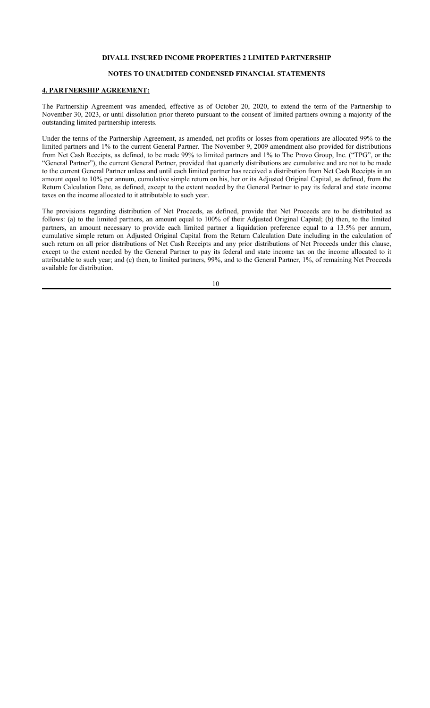## **NOTES TO UNAUDITED CONDENSED FINANCIAL STATEMENTS**

## **4. PARTNERSHIP AGREEMENT:**

The Partnership Agreement was amended, effective as of October 20, 2020, to extend the term of the Partnership to November 30, 2023, or until dissolution prior thereto pursuant to the consent of limited partners owning a majority of the outstanding limited partnership interests.

Under the terms of the Partnership Agreement, as amended, net profits or losses from operations are allocated 99% to the limited partners and 1% to the current General Partner. The November 9, 2009 amendment also provided for distributions from Net Cash Receipts, as defined, to be made 99% to limited partners and 1% to The Provo Group, Inc. ("TPG", or the "General Partner"), the current General Partner, provided that quarterly distributions are cumulative and are not to be made to the current General Partner unless and until each limited partner has received a distribution from Net Cash Receipts in an amount equal to 10% per annum, cumulative simple return on his, her or its Adjusted Original Capital, as defined, from the Return Calculation Date, as defined, except to the extent needed by the General Partner to pay its federal and state income taxes on the income allocated to it attributable to such year.

The provisions regarding distribution of Net Proceeds, as defined, provide that Net Proceeds are to be distributed as follows: (a) to the limited partners, an amount equal to 100% of their Adjusted Original Capital; (b) then, to the limited partners, an amount necessary to provide each limited partner a liquidation preference equal to a 13.5% per annum, cumulative simple return on Adjusted Original Capital from the Return Calculation Date including in the calculation of such return on all prior distributions of Net Cash Receipts and any prior distributions of Net Proceeds under this clause, except to the extent needed by the General Partner to pay its federal and state income tax on the income allocated to it attributable to such year; and (c) then, to limited partners, 99%, and to the General Partner, 1%, of remaining Net Proceeds available for distribution.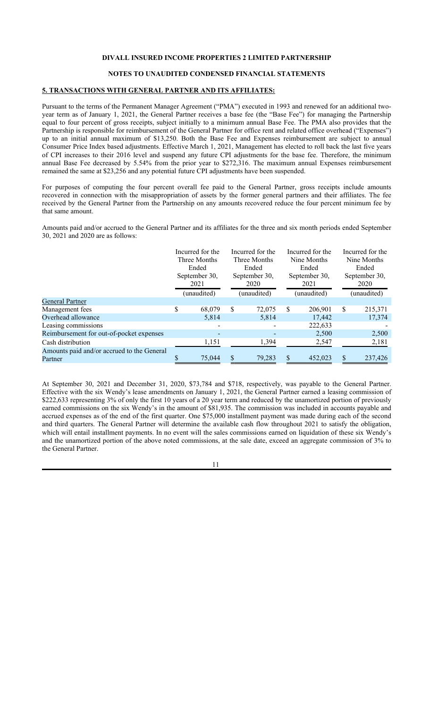### **NOTES TO UNAUDITED CONDENSED FINANCIAL STATEMENTS**

#### **5. TRANSACTIONS WITH GENERAL PARTNER AND ITS AFFILIATES:**

Pursuant to the terms of the Permanent Manager Agreement ("PMA") executed in 1993 and renewed for an additional twoyear term as of January 1, 2021, the General Partner receives a base fee (the "Base Fee") for managing the Partnership equal to four percent of gross receipts, subject initially to a minimum annual Base Fee. The PMA also provides that the Partnership is responsible for reimbursement of the General Partner for office rent and related office overhead ("Expenses") up to an initial annual maximum of \$13,250. Both the Base Fee and Expenses reimbursement are subject to annual Consumer Price Index based adjustments. Effective March 1, 2021, Management has elected to roll back the last five years of CPI increases to their 2016 level and suspend any future CPI adjustments for the base fee. Therefore, the minimum annual Base Fee decreased by 5.54% from the prior year to \$272,316. The maximum annual Expenses reimbursement remained the same at \$23,256 and any potential future CPI adjustments have been suspended.

For purposes of computing the four percent overall fee paid to the General Partner, gross receipts include amounts recovered in connection with the misappropriation of assets by the former general partners and their affiliates. The fee received by the General Partner from the Partnership on any amounts recovered reduce the four percent minimum fee by that same amount.

Amounts paid and/or accrued to the General Partner and its affiliates for the three and six month periods ended September 30, 2021 and 2020 are as follows:

|                                                       |   | Incurred for the<br>Three Months<br>Ended<br>September 30,<br>2021<br>(unaudited) |    | Incurred for the<br>Three Months<br>Ended<br>September 30,<br>2020<br>(unaudited) |    | Incurred for the<br>Nine Months<br>Ended<br>September 30,<br>2021<br>(unaudited) | Incurred for the<br>Nine Months<br>Ended<br>September 30,<br>2020<br>(unaudited) |         |
|-------------------------------------------------------|---|-----------------------------------------------------------------------------------|----|-----------------------------------------------------------------------------------|----|----------------------------------------------------------------------------------|----------------------------------------------------------------------------------|---------|
| General Partner                                       |   |                                                                                   |    |                                                                                   |    |                                                                                  |                                                                                  |         |
| Management fees                                       | S | 68,079                                                                            | \$ | 72,075                                                                            | \$ | 206.901                                                                          | \$                                                                               | 215,371 |
| Overhead allowance                                    |   | 5,814                                                                             |    | 5,814                                                                             |    | 17,442                                                                           |                                                                                  | 17,374  |
| Leasing commissions                                   |   |                                                                                   |    |                                                                                   |    | 222,633                                                                          |                                                                                  |         |
| Reimbursement for out-of-pocket expenses              |   |                                                                                   |    |                                                                                   |    | 2,500                                                                            |                                                                                  | 2,500   |
| Cash distribution                                     |   | 1,151                                                                             |    | 1,394                                                                             |    | 2,547                                                                            |                                                                                  | 2,181   |
| Amounts paid and/or accrued to the General<br>Partner |   | 75,044                                                                            |    | 79,283                                                                            |    | 452,023                                                                          |                                                                                  | 237,426 |

At September 30, 2021 and December 31, 2020, \$73,784 and \$718, respectively, was payable to the General Partner. Effective with the six Wendy's lease amendments on January 1, 2021, the General Partner earned a leasing commission of \$222,633 representing 3% of only the first 10 years of a 20 year term and reduced by the unamortized portion of previously earned commissions on the six Wendy's in the amount of \$81,935. The commission was included in accounts payable and accrued expenses as of the end of the first quarter. One \$75,000 installment payment was made during each of the second and third quarters. The General Partner will determine the available cash flow throughout 2021 to satisfy the obligation, which will entail installment payments. In no event will the sales commissions earned on liquidation of these six Wendy's and the unamortized portion of the above noted commissions, at the sale date, exceed an aggregate commission of 3% to the General Partner.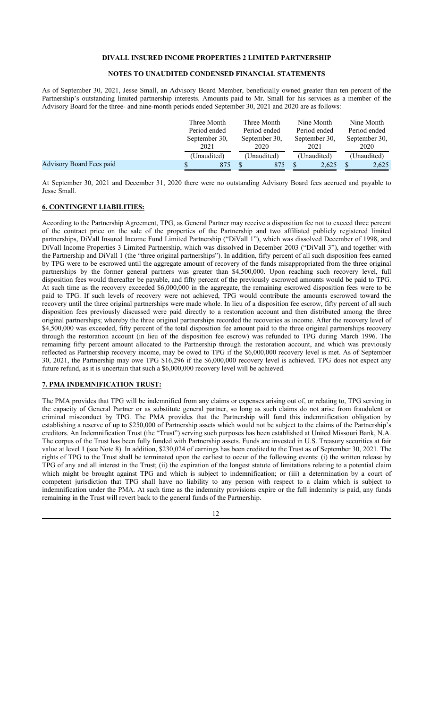## **NOTES TO UNAUDITED CONDENSED FINANCIAL STATEMENTS**

As of September 30, 2021, Jesse Small, an Advisory Board Member, beneficially owned greater than ten percent of the Partnership's outstanding limited partnership interests. Amounts paid to Mr. Small for his services as a member of the Advisory Board for the three- and nine-month periods ended September 30, 2021 and 2020 are as follows:

|                          | Three Month<br>Period ended<br>September 30,<br>2021 | Three Month<br>Period ended<br>September 30,<br>2020 | Nine Month<br>Period ended<br>September 30,<br>2021 | Nine Month<br>Period ended<br>September 30,<br>2020 |
|--------------------------|------------------------------------------------------|------------------------------------------------------|-----------------------------------------------------|-----------------------------------------------------|
|                          | (Unaudited)                                          | (Unaudited)                                          | (Unaudited)                                         | (Unaudited)                                         |
| Advisory Board Fees paid | 875                                                  | 875                                                  | 2.625                                               | 2,625                                               |

At September 30, 2021 and December 31, 2020 there were no outstanding Advisory Board fees accrued and payable to Jesse Small.

#### **6. CONTINGENT LIABILITIES:**

According to the Partnership Agreement, TPG, as General Partner may receive a disposition fee not to exceed three percent of the contract price on the sale of the properties of the Partnership and two affiliated publicly registered limited partnerships, DiVall Insured Income Fund Limited Partnership ("DiVall 1"), which was dissolved December of 1998, and DiVall Income Properties 3 Limited Partnership, which was dissolved in December 2003 ("DiVall 3"), and together with the Partnership and DiVall 1 (the "three original partnerships"). In addition, fifty percent of all such disposition fees earned by TPG were to be escrowed until the aggregate amount of recovery of the funds misappropriated from the three original partnerships by the former general partners was greater than \$4,500,000. Upon reaching such recovery level, full disposition fees would thereafter be payable, and fifty percent of the previously escrowed amounts would be paid to TPG. At such time as the recovery exceeded \$6,000,000 in the aggregate, the remaining escrowed disposition fees were to be paid to TPG. If such levels of recovery were not achieved, TPG would contribute the amounts escrowed toward the recovery until the three original partnerships were made whole. In lieu of a disposition fee escrow, fifty percent of all such disposition fees previously discussed were paid directly to a restoration account and then distributed among the three original partnerships; whereby the three original partnerships recorded the recoveries as income. After the recovery level of \$4,500,000 was exceeded, fifty percent of the total disposition fee amount paid to the three original partnerships recovery through the restoration account (in lieu of the disposition fee escrow) was refunded to TPG during March 1996. The remaining fifty percent amount allocated to the Partnership through the restoration account, and which was previously reflected as Partnership recovery income, may be owed to TPG if the \$6,000,000 recovery level is met. As of September 30, 2021, the Partnership may owe TPG \$16,296 if the \$6,000,000 recovery level is achieved. TPG does not expect any future refund, as it is uncertain that such a \$6,000,000 recovery level will be achieved.

#### **7. PMA INDEMNIFICATION TRUST:**

The PMA provides that TPG will be indemnified from any claims or expenses arising out of, or relating to, TPG serving in the capacity of General Partner or as substitute general partner, so long as such claims do not arise from fraudulent or criminal misconduct by TPG. The PMA provides that the Partnership will fund this indemnification obligation by establishing a reserve of up to \$250,000 of Partnership assets which would not be subject to the claims of the Partnership's creditors. An Indemnification Trust (the "Trust") serving such purposes has been established at United Missouri Bank, N.A. The corpus of the Trust has been fully funded with Partnership assets. Funds are invested in U.S. Treasury securities at fair value at level 1 (see Note 8). In addition, \$230,024 of earnings has been credited to the Trust as of September 30, 2021. The rights of TPG to the Trust shall be terminated upon the earliest to occur of the following events: (i) the written release by TPG of any and all interest in the Trust; (ii) the expiration of the longest statute of limitations relating to a potential claim which might be brought against TPG and which is subject to indemnification; or (iii) a determination by a court of competent jurisdiction that TPG shall have no liability to any person with respect to a claim which is subject to indemnification under the PMA. At such time as the indemnity provisions expire or the full indemnity is paid, any funds remaining in the Trust will revert back to the general funds of the Partnership.

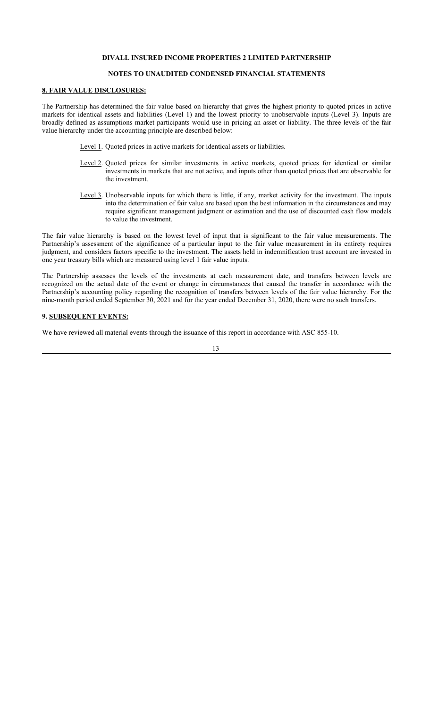## **NOTES TO UNAUDITED CONDENSED FINANCIAL STATEMENTS**

## **8. FAIR VALUE DISCLOSURES:**

The Partnership has determined the fair value based on hierarchy that gives the highest priority to quoted prices in active markets for identical assets and liabilities (Level 1) and the lowest priority to unobservable inputs (Level 3). Inputs are broadly defined as assumptions market participants would use in pricing an asset or liability. The three levels of the fair value hierarchy under the accounting principle are described below:

- Level 1. Quoted prices in active markets for identical assets or liabilities.
- Level 2. Quoted prices for similar investments in active markets, quoted prices for identical or similar investments in markets that are not active, and inputs other than quoted prices that are observable for the investment.
- Level 3. Unobservable inputs for which there is little, if any, market activity for the investment. The inputs into the determination of fair value are based upon the best information in the circumstances and may require significant management judgment or estimation and the use of discounted cash flow models to value the investment.

The fair value hierarchy is based on the lowest level of input that is significant to the fair value measurements. The Partnership's assessment of the significance of a particular input to the fair value measurement in its entirety requires judgment, and considers factors specific to the investment. The assets held in indemnification trust account are invested in one year treasury bills which are measured using level 1 fair value inputs.

The Partnership assesses the levels of the investments at each measurement date, and transfers between levels are recognized on the actual date of the event or change in circumstances that caused the transfer in accordance with the Partnership's accounting policy regarding the recognition of transfers between levels of the fair value hierarchy. For the nine-month period ended September 30, 2021 and for the year ended December 31, 2020, there were no such transfers.

#### **9. SUBSEQUENT EVENTS:**

We have reviewed all material events through the issuance of this report in accordance with ASC 855-10.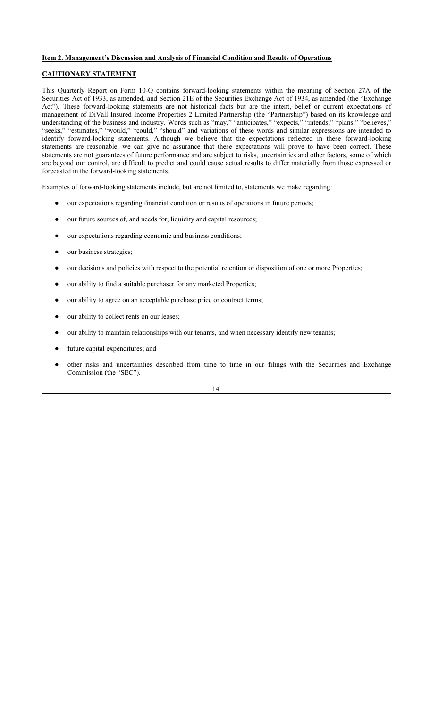#### **Item 2. Management's Discussion and Analysis of Financial Condition and Results of Operations**

#### **CAUTIONARY STATEMENT**

This Quarterly Report on Form 10-Q contains forward-looking statements within the meaning of Section 27A of the Securities Act of 1933, as amended, and Section 21E of the Securities Exchange Act of 1934, as amended (the "Exchange Act"). These forward-looking statements are not historical facts but are the intent, belief or current expectations of management of DiVall Insured Income Properties 2 Limited Partnership (the "Partnership") based on its knowledge and understanding of the business and industry. Words such as "may," "anticipates," "expects," "intends," "plans," "believes," "seeks," "estimates," "would," "could," "should" and variations of these words and similar expressions are intended to identify forward-looking statements. Although we believe that the expectations reflected in these forward-looking statements are reasonable, we can give no assurance that these expectations will prove to have been correct. These statements are not guarantees of future performance and are subject to risks, uncertainties and other factors, some of which are beyond our control, are difficult to predict and could cause actual results to differ materially from those expressed or forecasted in the forward-looking statements.

Examples of forward-looking statements include, but are not limited to, statements we make regarding:

- our expectations regarding financial condition or results of operations in future periods;
- our future sources of, and needs for, liquidity and capital resources;
- our expectations regarding economic and business conditions;
- our business strategies;
- our decisions and policies with respect to the potential retention or disposition of one or more Properties;
- our ability to find a suitable purchaser for any marketed Properties;
- our ability to agree on an acceptable purchase price or contract terms;
- our ability to collect rents on our leases;
- our ability to maintain relationships with our tenants, and when necessary identify new tenants;
- future capital expenditures; and
- other risks and uncertainties described from time to time in our filings with the Securities and Exchange Commission (the "SEC").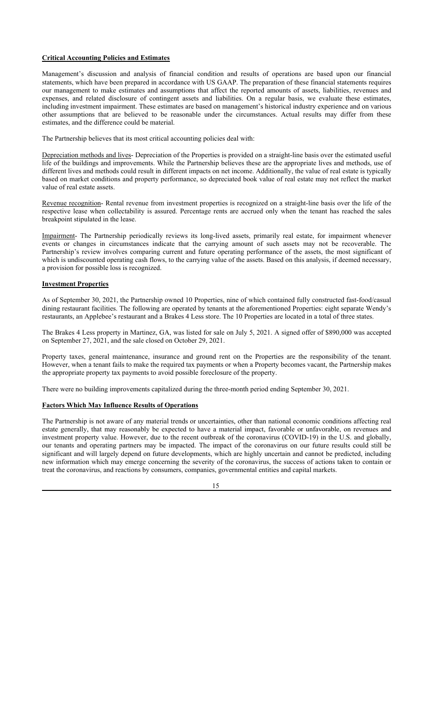#### **Critical Accounting Policies and Estimates**

Management's discussion and analysis of financial condition and results of operations are based upon our financial statements, which have been prepared in accordance with US GAAP. The preparation of these financial statements requires our management to make estimates and assumptions that affect the reported amounts of assets, liabilities, revenues and expenses, and related disclosure of contingent assets and liabilities. On a regular basis, we evaluate these estimates, including investment impairment. These estimates are based on management's historical industry experience and on various other assumptions that are believed to be reasonable under the circumstances. Actual results may differ from these estimates, and the difference could be material.

The Partnership believes that its most critical accounting policies deal with:

Depreciation methods and lives- Depreciation of the Properties is provided on a straight-line basis over the estimated useful life of the buildings and improvements. While the Partnership believes these are the appropriate lives and methods, use of different lives and methods could result in different impacts on net income. Additionally, the value of real estate is typically based on market conditions and property performance, so depreciated book value of real estate may not reflect the market value of real estate assets.

Revenue recognition- Rental revenue from investment properties is recognized on a straight-line basis over the life of the respective lease when collectability is assured. Percentage rents are accrued only when the tenant has reached the sales breakpoint stipulated in the lease.

Impairment- The Partnership periodically reviews its long-lived assets, primarily real estate, for impairment whenever events or changes in circumstances indicate that the carrying amount of such assets may not be recoverable. The Partnership's review involves comparing current and future operating performance of the assets, the most significant of which is undiscounted operating cash flows, to the carrying value of the assets. Based on this analysis, if deemed necessary, a provision for possible loss is recognized.

#### **Investment Properties**

As of September 30, 2021, the Partnership owned 10 Properties, nine of which contained fully constructed fast-food/casual dining restaurant facilities. The following are operated by tenants at the aforementioned Properties: eight separate Wendy's restaurants, an Applebee's restaurant and a Brakes 4 Less store. The 10 Properties are located in a total of three states.

The Brakes 4 Less property in Martinez, GA, was listed for sale on July 5, 2021. A signed offer of \$890,000 was accepted on September 27, 2021, and the sale closed on October 29, 2021.

Property taxes, general maintenance, insurance and ground rent on the Properties are the responsibility of the tenant. However, when a tenant fails to make the required tax payments or when a Property becomes vacant, the Partnership makes the appropriate property tax payments to avoid possible foreclosure of the property.

There were no building improvements capitalized during the three-month period ending September 30, 2021.

#### **Factors Which May Influence Results of Operations**

The Partnership is not aware of any material trends or uncertainties, other than national economic conditions affecting real estate generally, that may reasonably be expected to have a material impact, favorable or unfavorable, on revenues and investment property value. However, due to the recent outbreak of the coronavirus (COVID-19) in the U.S. and globally, our tenants and operating partners may be impacted. The impact of the coronavirus on our future results could still be significant and will largely depend on future developments, which are highly uncertain and cannot be predicted, including new information which may emerge concerning the severity of the coronavirus, the success of actions taken to contain or treat the coronavirus, and reactions by consumers, companies, governmental entities and capital markets.

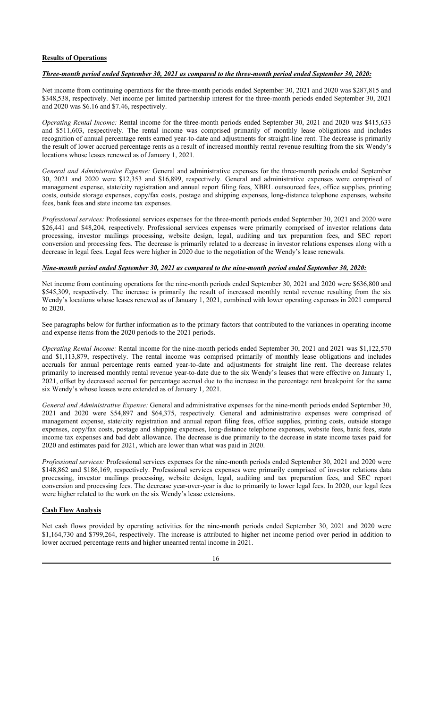#### **Results of Operations**

## *Three-month period ended September 30, 2021 as compared to the three-month period ended September 30, 2020:*

Net income from continuing operations for the three-month periods ended September 30, 2021 and 2020 was \$287,815 and \$348,538, respectively. Net income per limited partnership interest for the three-month periods ended September 30, 2021 and 2020 was \$6.16 and \$7.46, respectively.

*Operating Rental Income:* Rental income for the three-month periods ended September 30, 2021 and 2020 was \$415,633 and \$511,603, respectively. The rental income was comprised primarily of monthly lease obligations and includes recognition of annual percentage rents earned year-to-date and adjustments for straight-line rent. The decrease is primarily the result of lower accrued percentage rents as a result of increased monthly rental revenue resulting from the six Wendy's locations whose leases renewed as of January 1, 2021.

*General and Administrative Expense:* General and administrative expenses for the three-month periods ended September 30, 2021 and 2020 were \$12,353 and \$16,899, respectively. General and administrative expenses were comprised of management expense, state/city registration and annual report filing fees, XBRL outsourced fees, office supplies, printing costs, outside storage expenses, copy/fax costs, postage and shipping expenses, long-distance telephone expenses, website fees, bank fees and state income tax expenses.

*Professional services:* Professional services expenses for the three-month periods ended September 30, 2021 and 2020 were \$26,441 and \$48,204, respectively. Professional services expenses were primarily comprised of investor relations data processing, investor mailings processing, website design, legal, auditing and tax preparation fees, and SEC report conversion and processing fees. The decrease is primarily related to a decrease in investor relations expenses along with a decrease in legal fees. Legal fees were higher in 2020 due to the negotiation of the Wendy's lease renewals.

#### *Nine-month period ended September 30, 2021 as compared to the nine-month period ended September 30, 2020:*

Net income from continuing operations for the nine-month periods ended September 30, 2021 and 2020 were \$636,800 and \$545,309, respectively. The increase is primarily the result of increased monthly rental revenue resulting from the six Wendy's locations whose leases renewed as of January 1, 2021, combined with lower operating expenses in 2021 compared to 2020.

See paragraphs below for further information as to the primary factors that contributed to the variances in operating income and expense items from the 2020 periods to the 2021 periods.

*Operating Rental Income:* Rental income for the nine-month periods ended September 30, 2021 and 2021 was \$1,122,570 and \$1,113,879, respectively. The rental income was comprised primarily of monthly lease obligations and includes accruals for annual percentage rents earned year-to-date and adjustments for straight line rent. The decrease relates primarily to increased monthly rental revenue year-to-date due to the six Wendy's leases that were effective on January 1, 2021, offset by decreased accrual for percentage accrual due to the increase in the percentage rent breakpoint for the same six Wendy's whose leases were extended as of January 1, 2021.

*General and Administrative Expense:* General and administrative expenses for the nine-month periods ended September 30, 2021 and 2020 were \$54,897 and \$64,375, respectively. General and administrative expenses were comprised of management expense, state/city registration and annual report filing fees, office supplies, printing costs, outside storage expenses, copy/fax costs, postage and shipping expenses, long-distance telephone expenses, website fees, bank fees, state income tax expenses and bad debt allowance. The decrease is due primarily to the decrease in state income taxes paid for 2020 and estimates paid for 2021, which are lower than what was paid in 2020.

*Professional services:* Professional services expenses for the nine-month periods ended September 30, 2021 and 2020 were \$148,862 and \$186,169, respectively. Professional services expenses were primarily comprised of investor relations data processing, investor mailings processing, website design, legal, auditing and tax preparation fees, and SEC report conversion and processing fees. The decrease year-over-year is due to primarily to lower legal fees. In 2020, our legal fees were higher related to the work on the six Wendy's lease extensions.

#### **Cash Flow Analysis**

Net cash flows provided by operating activities for the nine-month periods ended September 30, 2021 and 2020 were \$1,164,730 and \$799,264, respectively. The increase is attributed to higher net income period over period in addition to lower accrued percentage rents and higher unearned rental income in 2021.

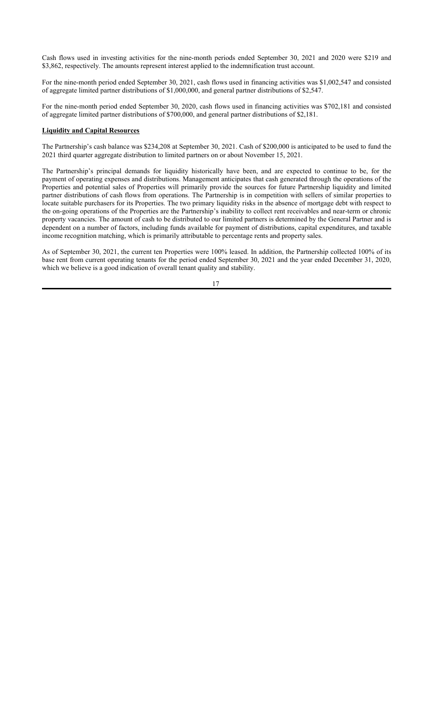Cash flows used in investing activities for the nine-month periods ended September 30, 2021 and 2020 were \$219 and \$3,862, respectively. The amounts represent interest applied to the indemnification trust account.

For the nine-month period ended September 30, 2021, cash flows used in financing activities was \$1,002,547 and consisted of aggregate limited partner distributions of \$1,000,000, and general partner distributions of \$2,547.

For the nine-month period ended September 30, 2020, cash flows used in financing activities was \$702,181 and consisted of aggregate limited partner distributions of \$700,000, and general partner distributions of \$2,181.

#### **Liquidity and Capital Resources**

The Partnership's cash balance was \$234,208 at September 30, 2021. Cash of \$200,000 is anticipated to be used to fund the 2021 third quarter aggregate distribution to limited partners on or about November 15, 2021.

The Partnership's principal demands for liquidity historically have been, and are expected to continue to be, for the payment of operating expenses and distributions. Management anticipates that cash generated through the operations of the Properties and potential sales of Properties will primarily provide the sources for future Partnership liquidity and limited partner distributions of cash flows from operations. The Partnership is in competition with sellers of similar properties to locate suitable purchasers for its Properties. The two primary liquidity risks in the absence of mortgage debt with respect to the on-going operations of the Properties are the Partnership's inability to collect rent receivables and near-term or chronic property vacancies. The amount of cash to be distributed to our limited partners is determined by the General Partner and is dependent on a number of factors, including funds available for payment of distributions, capital expenditures, and taxable income recognition matching, which is primarily attributable to percentage rents and property sales.

As of September 30, 2021, the current ten Properties were 100% leased. In addition, the Partnership collected 100% of its base rent from current operating tenants for the period ended September 30, 2021 and the year ended December 31, 2020, which we believe is a good indication of overall tenant quality and stability.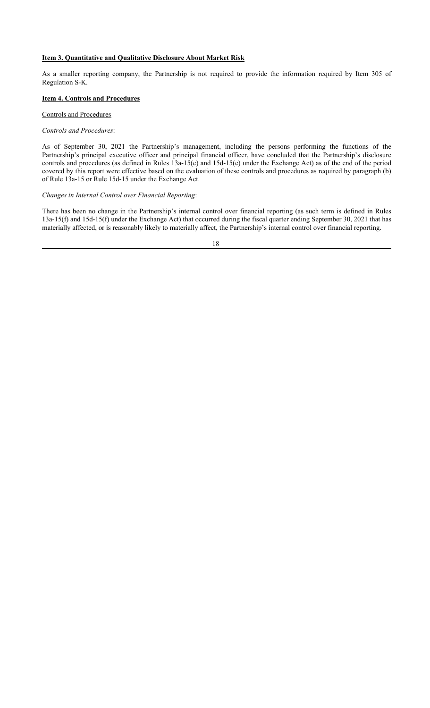#### **Item 3. Quantitative and Qualitative Disclosure About Market Risk**

As a smaller reporting company, the Partnership is not required to provide the information required by Item 305 of Regulation S-K.

## **Item 4. Controls and Procedures**

#### Controls and Procedures

#### *Controls and Procedures*:

As of September 30, 2021 the Partnership's management, including the persons performing the functions of the Partnership's principal executive officer and principal financial officer, have concluded that the Partnership's disclosure controls and procedures (as defined in Rules 13a-15(e) and 15d-15(e) under the Exchange Act) as of the end of the period covered by this report were effective based on the evaluation of these controls and procedures as required by paragraph (b) of Rule 13a-15 or Rule 15d-15 under the Exchange Act.

#### *Changes in Internal Control over Financial Reporting*:

There has been no change in the Partnership's internal control over financial reporting (as such term is defined in Rules 13a-15(f) and 15d-15(f) under the Exchange Act) that occurred during the fiscal quarter ending September 30, 2021 that has materially affected, or is reasonably likely to materially affect, the Partnership's internal control over financial reporting.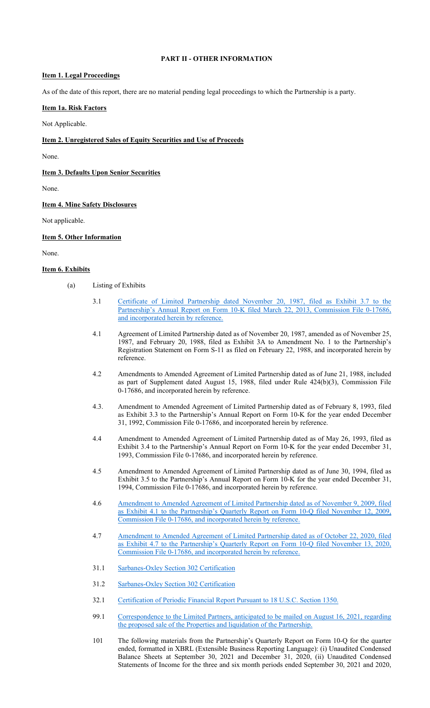## **PART II - OTHER INFORMATION**

## **Item 1. Legal Proceedings**

As of the date of this report, there are no material pending legal proceedings to which the Partnership is a party.

## **Item 1a. Risk Factors**

Not Applicable.

## **Item 2. Unregistered Sales of Equity Securities and Use of Proceeds**

None.

## **Item 3. Defaults Upon Senior Securities**

None.

## **Item 4. Mine Safety Disclosures**

Not applicable.

## **Item 5. Other Information**

None.

## **Item 6. Exhibits**

- (a) Listing of Exhibits
	- 3.1 Certificate of Limited Partnership dated November 20, 1987, filed as Exhibit 3.7 to the Partnership's Annual Report on Form 10-K filed March 22, 2013, Commission File 0-17686, and incorporated herein by reference.
	- 4.1 Agreement of Limited Partnership dated as of November 20, 1987, amended as of November 25, 1987, and February 20, 1988, filed as Exhibit 3A to Amendment No. 1 to the Partnership's Registration Statement on Form S-11 as filed on February 22, 1988, and incorporated herein by reference.
	- 4.2 Amendments to Amended Agreement of Limited Partnership dated as of June 21, 1988, included as part of Supplement dated August 15, 1988, filed under Rule 424(b)(3), Commission File 0-17686, and incorporated herein by reference.
	- 4.3. Amendment to Amended Agreement of Limited Partnership dated as of February 8, 1993, filed as Exhibit 3.3 to the Partnership's Annual Report on Form 10-K for the year ended December 31, 1992, Commission File 0-17686, and incorporated herein by reference.
	- 4.4 Amendment to Amended Agreement of Limited Partnership dated as of May 26, 1993, filed as Exhibit 3.4 to the Partnership's Annual Report on Form 10-K for the year ended December 31, 1993, Commission File 0-17686, and incorporated herein by reference.
	- 4.5 Amendment to Amended Agreement of Limited Partnership dated as of June 30, 1994, filed as Exhibit 3.5 to the Partnership's Annual Report on Form 10-K for the year ended December 31, 1994, Commission File 0-17686, and incorporated herein by reference.
	- 4.6 Amendment to Amended Agreement of Limited Partnership dated as of November 9, 2009, filed as Exhibit 4.1 to the Partnership's Quarterly Report on Form 10-Q filed November 12, 2009, Commission File 0-17686, and incorporated herein by reference.
	- 4.7 Amendment to Amended Agreement of Limited Partnership dated as of October 22, 2020, filed as Exhibit 4.7 to the Partnership's Quarterly Report on Form 10-Q filed November 13, 2020, Commission File 0-17686, and incorporated herein by reference.
	- 31.1 Sarbanes-Oxley Section 302 Certification
	- 31.2 Sarbanes-Oxley Section 302 Certification
	- 32.1 Certification of Periodic Financial Report Pursuant to 18 U.S.C. Section 1350.
	- 99.1 Correspondence to the Limited Partners, anticipated to be mailed on August 16, 2021, regarding the proposed sale of the Properties and liquidation of the Partnership.
	- 101 The following materials from the Partnership's Quarterly Report on Form 10-Q for the quarter ended, formatted in XBRL (Extensible Business Reporting Language): (i) Unaudited Condensed Balance Sheets at September 30, 2021 and December 31, 2020, (ii) Unaudited Condensed Statements of Income for the three and six month periods ended September 30, 2021 and 2020,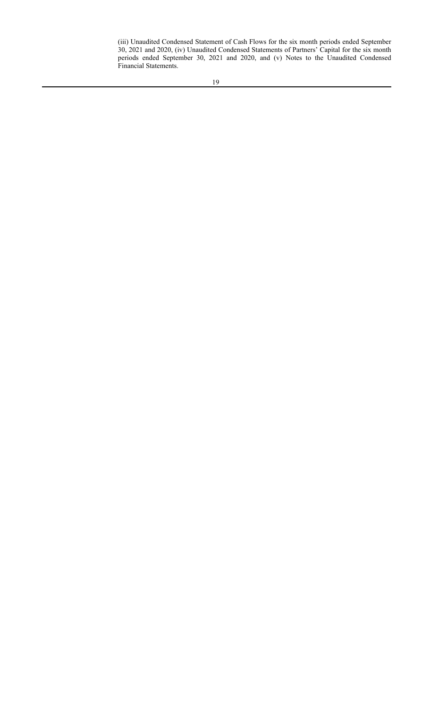(iii) Unaudited Condensed Statement of Cash Flows for the six month periods ended September 30, 2021 and 2020, (iv) Unaudited Condensed Statements of Partners' Capital for the six month periods ended September 30, 2021 and 2020, and (v) Notes to the Unaudited Condensed Financial Statements.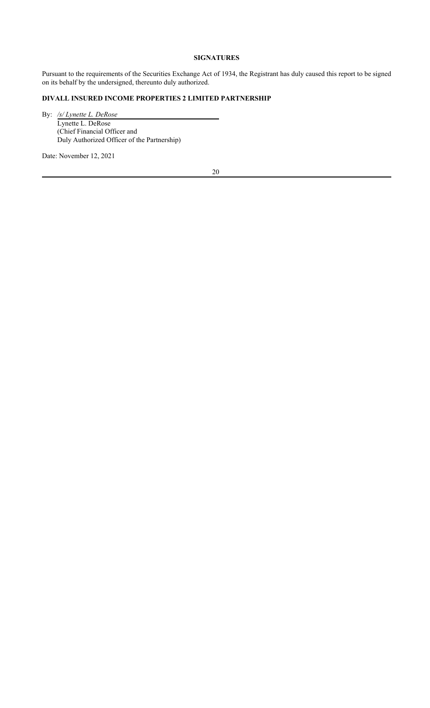## **SIGNATURES**

Pursuant to the requirements of the Securities Exchange Act of 1934, the Registrant has duly caused this report to be signed on its behalf by the undersigned, thereunto duly authorized.

## **DIVALL INSURED INCOME PROPERTIES 2 LIMITED PARTNERSHIP**

By: */s/ Lynette L. DeRose* Lynette L. DeRose (Chief Financial Officer and Duly Authorized Officer of the Partnership)

Date: November 12, 2021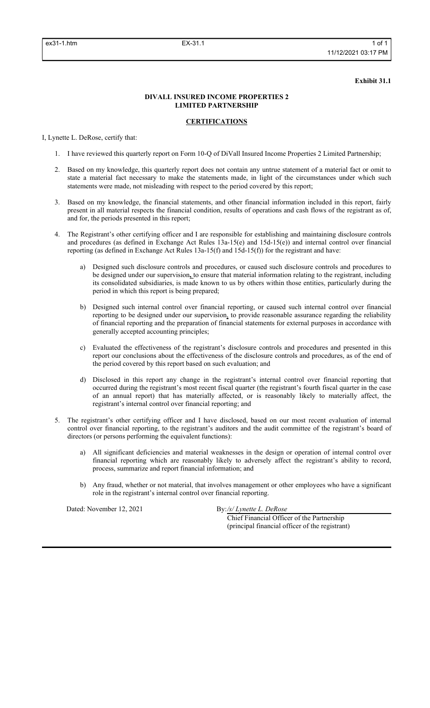#### **Exhibit 31.1**

## **DIVALL INSURED INCOME PROPERTIES 2 LIMITED PARTNERSHIP**

#### **CERTIFICATIONS**

I, Lynette L. DeRose, certify that:

- 1. I have reviewed this quarterly report on Form 10-Q of DiVall Insured Income Properties 2 Limited Partnership;
- 2. Based on my knowledge, this quarterly report does not contain any untrue statement of a material fact or omit to state a material fact necessary to make the statements made, in light of the circumstances under which such statements were made, not misleading with respect to the period covered by this report;
- 3. Based on my knowledge, the financial statements, and other financial information included in this report, fairly present in all material respects the financial condition, results of operations and cash flows of the registrant as of, and for, the periods presented in this report;
- 4. The Registrant's other certifying officer and I are responsible for establishing and maintaining disclosure controls and procedures (as defined in Exchange Act Rules 13a-15(e) and 15d-15(e)) and internal control over financial reporting (as defined in Exchange Act Rules 13a-15(f) and 15d-15(f)) for the registrant and have:
	- a) Designed such disclosure controls and procedures, or caused such disclosure controls and procedures to be designed under our supervision**,** to ensure that material information relating to the registrant, including its consolidated subsidiaries, is made known to us by others within those entities, particularly during the period in which this report is being prepared;
	- b) Designed such internal control over financial reporting, or caused such internal control over financial reporting to be designed under our supervision, to provide reasonable assurance regarding the reliability of financial reporting and the preparation of financial statements for external purposes in accordance with generally accepted accounting principles;
	- c) Evaluated the effectiveness of the registrant's disclosure controls and procedures and presented in this report our conclusions about the effectiveness of the disclosure controls and procedures, as of the end of the period covered by this report based on such evaluation; and
	- d) Disclosed in this report any change in the registrant's internal control over financial reporting that occurred during the registrant's most recent fiscal quarter (the registrant's fourth fiscal quarter in the case of an annual report) that has materially affected, or is reasonably likely to materially affect, the registrant's internal control over financial reporting; and
- 5. The registrant's other certifying officer and I have disclosed, based on our most recent evaluation of internal control over financial reporting, to the registrant's auditors and the audit committee of the registrant's board of directors (or persons performing the equivalent functions):
	- a) All significant deficiencies and material weaknesses in the design or operation of internal control over financial reporting which are reasonably likely to adversely affect the registrant's ability to record, process, summarize and report financial information; and
	- b) Any fraud, whether or not material, that involves management or other employees who have a significant role in the registrant's internal control over financial reporting.

Dated: November 12, 2021 By:/s/ Lynette L. DeRose

Chief Financial Officer of the Partnership (principal financial officer of the registrant)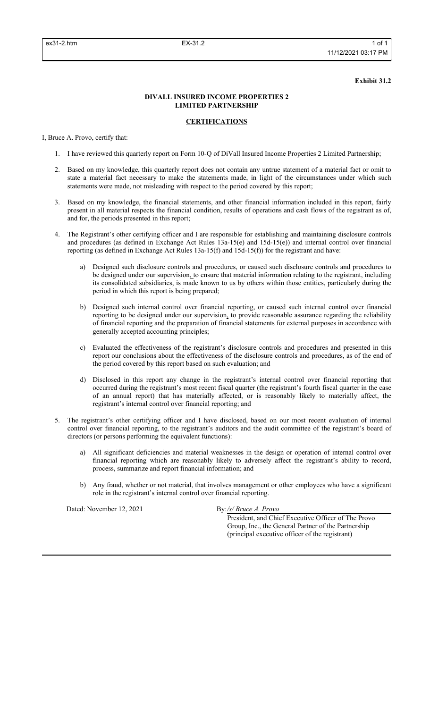#### **Exhibit 31.2**

## **DIVALL INSURED INCOME PROPERTIES 2 LIMITED PARTNERSHIP**

#### **CERTIFICATIONS**

I, Bruce A. Provo, certify that:

- 1. I have reviewed this quarterly report on Form 10-Q of DiVall Insured Income Properties 2 Limited Partnership;
- 2. Based on my knowledge, this quarterly report does not contain any untrue statement of a material fact or omit to state a material fact necessary to make the statements made, in light of the circumstances under which such statements were made, not misleading with respect to the period covered by this report;
- 3. Based on my knowledge, the financial statements, and other financial information included in this report, fairly present in all material respects the financial condition, results of operations and cash flows of the registrant as of, and for, the periods presented in this report;
- 4. The Registrant's other certifying officer and I are responsible for establishing and maintaining disclosure controls and procedures (as defined in Exchange Act Rules 13a-15(e) and 15d-15(e)) and internal control over financial reporting (as defined in Exchange Act Rules 13a-15(f) and 15d-15(f)) for the registrant and have:
	- a) Designed such disclosure controls and procedures, or caused such disclosure controls and procedures to be designed under our supervision, to ensure that material information relating to the registrant, including its consolidated subsidiaries, is made known to us by others within those entities, particularly during the period in which this report is being prepared;
	- b) Designed such internal control over financial reporting, or caused such internal control over financial reporting to be designed under our supervision, to provide reasonable assurance regarding the reliability of financial reporting and the preparation of financial statements for external purposes in accordance with generally accepted accounting principles;
	- c) Evaluated the effectiveness of the registrant's disclosure controls and procedures and presented in this report our conclusions about the effectiveness of the disclosure controls and procedures, as of the end of the period covered by this report based on such evaluation; and
	- d) Disclosed in this report any change in the registrant's internal control over financial reporting that occurred during the registrant's most recent fiscal quarter (the registrant's fourth fiscal quarter in the case of an annual report) that has materially affected, or is reasonably likely to materially affect, the registrant's internal control over financial reporting; and
- 5. The registrant's other certifying officer and I have disclosed, based on our most recent evaluation of internal control over financial reporting, to the registrant's auditors and the audit committee of the registrant's board of directors (or persons performing the equivalent functions):
	- a) All significant deficiencies and material weaknesses in the design or operation of internal control over financial reporting which are reasonably likely to adversely affect the registrant's ability to record, process, summarize and report financial information; and
	- b) Any fraud, whether or not material, that involves management or other employees who have a significant role in the registrant's internal control over financial reporting.

Dated: November 12, 2021 By:/s/ Bruce A. Provo

President, and Chief Executive Officer of The Provo Group, Inc., the General Partner of the Partnership (principal executive officer of the registrant)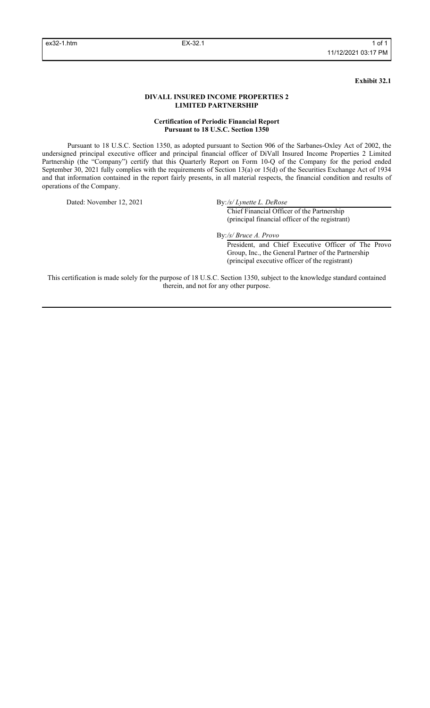**Exhibit 32.1**

## **DIVALL INSURED INCOME PROPERTIES 2 LIMITED PARTNERSHIP**

#### **Certification of Periodic Financial Report Pursuant to 18 U.S.C. Section 1350**

Pursuant to 18 U.S.C. Section 1350, as adopted pursuant to Section 906 of the Sarbanes-Oxley Act of 2002, the undersigned principal executive officer and principal financial officer of DiVall Insured Income Properties 2 Limited Partnership (the "Company") certify that this Quarterly Report on Form 10-Q of the Company for the period ended September 30, 2021 fully complies with the requirements of Section 13(a) or 15(d) of the Securities Exchange Act of 1934 and that information contained in the report fairly presents, in all material respects, the financial condition and results of operations of the Company.

Dated: November 12, 2021 By:/s/ Lynette L. DeRose

Chief Financial Officer of the Partnership (principal financial officer of the registrant)

By:*/s/ Bruce A. Provo*

President, and Chief Executive Officer of The Provo Group, Inc., the General Partner of the Partnership (principal executive officer of the registrant)

This certification is made solely for the purpose of 18 U.S.C. Section 1350, subject to the knowledge standard contained therein, and not for any other purpose.